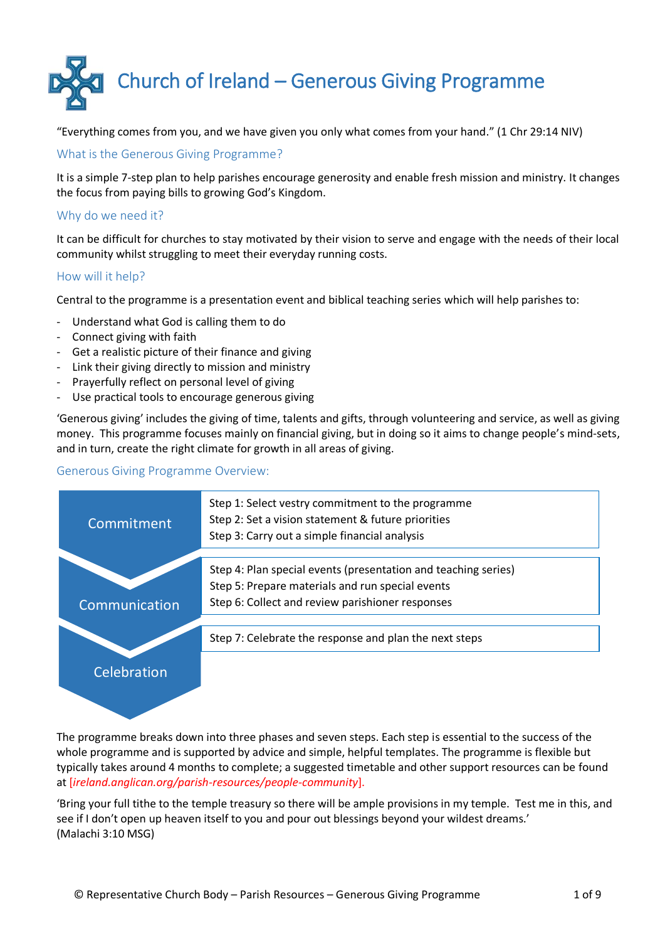

"Everything comes from you, and we have given you only what comes from your hand." (1 Chr 29:14 NIV)

### What is the Generous Giving Programme?

It is a simple 7-step plan to help parishes encourage generosity and enable fresh mission and ministry. It changes the focus from paying bills to growing God's Kingdom.

### Why do we need it?

It can be difficult for churches to stay motivated by their vision to serve and engage with the needs of their local community whilst struggling to meet their everyday running costs.

### How will it help?

Central to the programme is a presentation event and biblical teaching series which will help parishes to:

- Understand what God is calling them to do
- Connect giving with faith
- Get a realistic picture of their finance and giving
- Link their giving directly to mission and ministry
- Prayerfully reflect on personal level of giving
- Use practical tools to encourage generous giving

'Generous giving' includes the giving of time, talents and gifts, through volunteering and service, as well as giving money. This programme focuses mainly on financial giving, but in doing so it aims to change people's mind-sets, and in turn, create the right climate for growth in all areas of giving.

### Generous Giving Programme Overview:



The programme breaks down into three phases and seven steps. Each step is essential to the success of the whole programme and is supported by advice and simple, helpful templates. The programme is flexible but typically takes around 4 months to complete; a suggested timetable and other support resources can be found at [*ireland.anglican.org/parish-resources/people-community*].

'Bring your full tithe to the temple treasury so there will be ample provisions in my temple. Test me in this, and see if I don't open up heaven itself to you and pour out blessings beyond your wildest dreams.' (Malachi 3:10 MSG)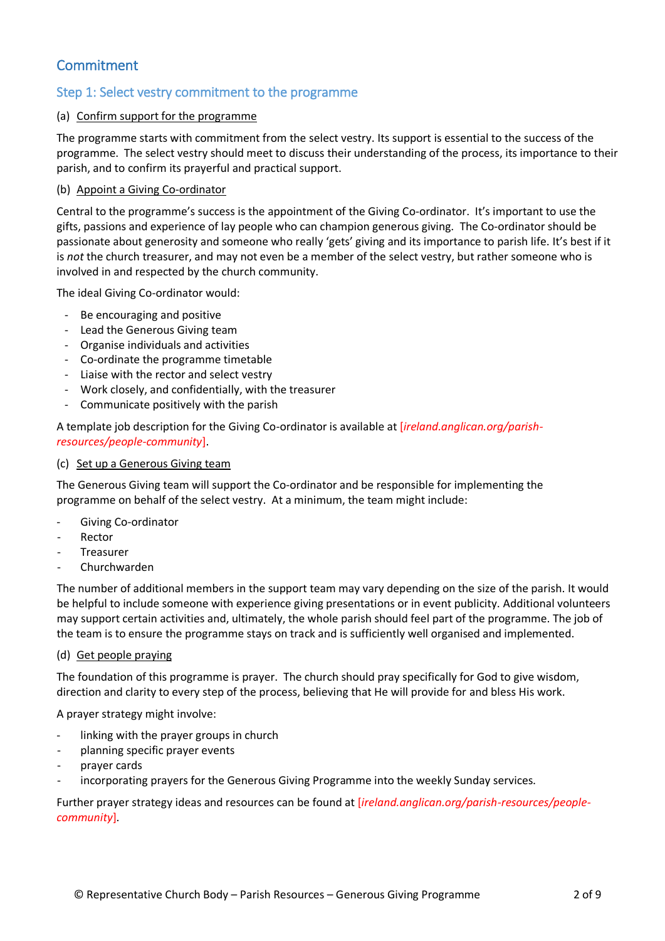# Commitment

# Step 1: Select vestry commitment to the programme

### (a) Confirm support for the programme

The programme starts with commitment from the select vestry. Its support is essential to the success of the programme. The select vestry should meet to discuss their understanding of the process, its importance to their parish, and to confirm its prayerful and practical support.

### (b) Appoint a Giving Co-ordinator

Central to the programme's success is the appointment of the Giving Co-ordinator. It's important to use the gifts, passions and experience of lay people who can champion generous giving. The Co-ordinator should be passionate about generosity and someone who really 'gets' giving and its importance to parish life. It's best if it is *not* the church treasurer, and may not even be a member of the select vestry, but rather someone who is involved in and respected by the church community.

The ideal Giving Co-ordinator would:

- Be encouraging and positive
- Lead the Generous Giving team
- Organise individuals and activities
- Co-ordinate the programme timetable
- Liaise with the rector and select vestry
- Work closely, and confidentially, with the treasurer
- Communicate positively with the parish

A template job description for the Giving Co-ordinator is available at [*ireland.anglican.org/parishresources/people-community*].

### (c) Set up a Generous Giving team

The Generous Giving team will support the Co-ordinator and be responsible for implementing the programme on behalf of the select vestry. At a minimum, the team might include:

- Giving Co-ordinator
- **Rector**
- **Treasurer**
- **Churchwarden**

The number of additional members in the support team may vary depending on the size of the parish. It would be helpful to include someone with experience giving presentations or in event publicity. Additional volunteers may support certain activities and, ultimately, the whole parish should feel part of the programme. The job of the team is to ensure the programme stays on track and is sufficiently well organised and implemented.

### (d) Get people praying

The foundation of this programme is prayer. The church should pray specifically for God to give wisdom, direction and clarity to every step of the process, believing that He will provide for and bless His work.

### A prayer strategy might involve:

- linking with the prayer groups in church
- planning specific prayer events
- prayer cards
- incorporating prayers for the Generous Giving Programme into the weekly Sunday services.

Further prayer strategy ideas and resources can be found at [*ireland.anglican.org/parish-resources/peoplecommunity*].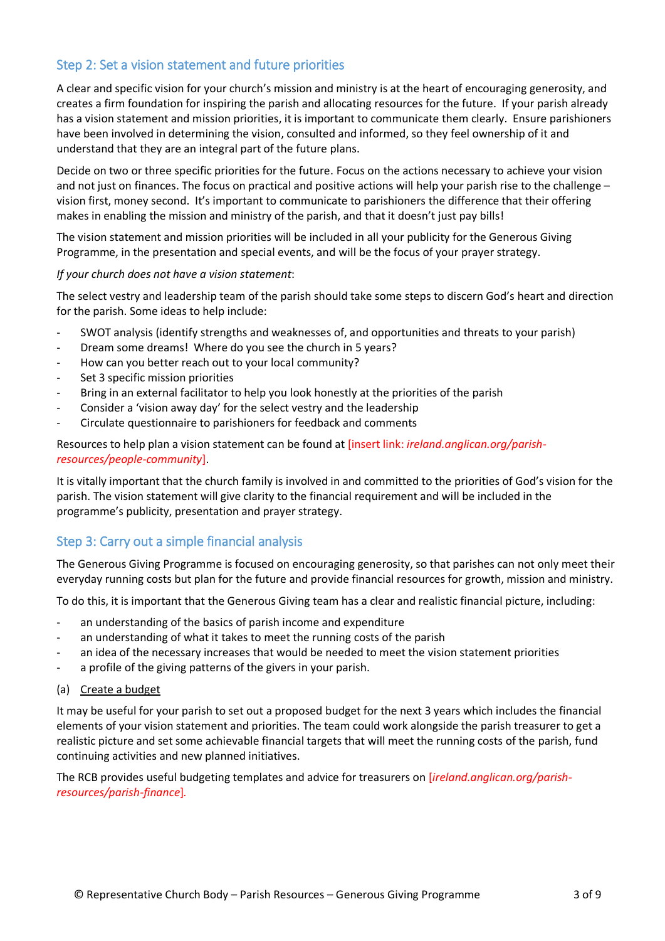## Step 2: Set a vision statement and future priorities

A clear and specific vision for your church's mission and ministry is at the heart of encouraging generosity, and creates a firm foundation for inspiring the parish and allocating resources for the future. If your parish already has a vision statement and mission priorities, it is important to communicate them clearly. Ensure parishioners have been involved in determining the vision, consulted and informed, so they feel ownership of it and understand that they are an integral part of the future plans.

Decide on two or three specific priorities for the future. Focus on the actions necessary to achieve your vision and not just on finances. The focus on practical and positive actions will help your parish rise to the challenge – vision first, money second. It's important to communicate to parishioners the difference that their offering makes in enabling the mission and ministry of the parish, and that it doesn't just pay bills!

The vision statement and mission priorities will be included in all your publicity for the Generous Giving Programme, in the presentation and special events, and will be the focus of your prayer strategy.

### *If your church does not have a vision statement*:

The select vestry and leadership team of the parish should take some steps to discern God's heart and direction for the parish. Some ideas to help include:

- SWOT analysis (identify strengths and weaknesses of, and opportunities and threats to your parish)
- Dream some dreams! Where do you see the church in 5 years?
- How can you better reach out to your local community?
- Set 3 specific mission priorities
- Bring in an external facilitator to help you look honestly at the priorities of the parish
- Consider a 'vision away day' for the select vestry and the leadership
- Circulate questionnaire to parishioners for feedback and comments

Resources to help plan a vision statement can be found at [insert link: *ireland.anglican.org/parishresources/people-community*].

It is vitally important that the church family is involved in and committed to the priorities of God's vision for the parish. The vision statement will give clarity to the financial requirement and will be included in the programme's publicity, presentation and prayer strategy.

# Step 3: Carry out a simple financial analysis

The Generous Giving Programme is focused on encouraging generosity, so that parishes can not only meet their everyday running costs but plan for the future and provide financial resources for growth, mission and ministry.

To do this, it is important that the Generous Giving team has a clear and realistic financial picture, including:

- an understanding of the basics of parish income and expenditure
- an understanding of what it takes to meet the running costs of the parish
- an idea of the necessary increases that would be needed to meet the vision statement priorities
- a profile of the giving patterns of the givers in your parish.

### (a) Create a budget

It may be useful for your parish to set out a proposed budget for the next 3 years which includes the financial elements of your vision statement and priorities. The team could work alongside the parish treasurer to get a realistic picture and set some achievable financial targets that will meet the running costs of the parish, fund continuing activities and new planned initiatives.

The RCB provides useful budgeting templates and advice for treasurers on [*ireland.anglican.org/parishresources/parish-finance*]*.*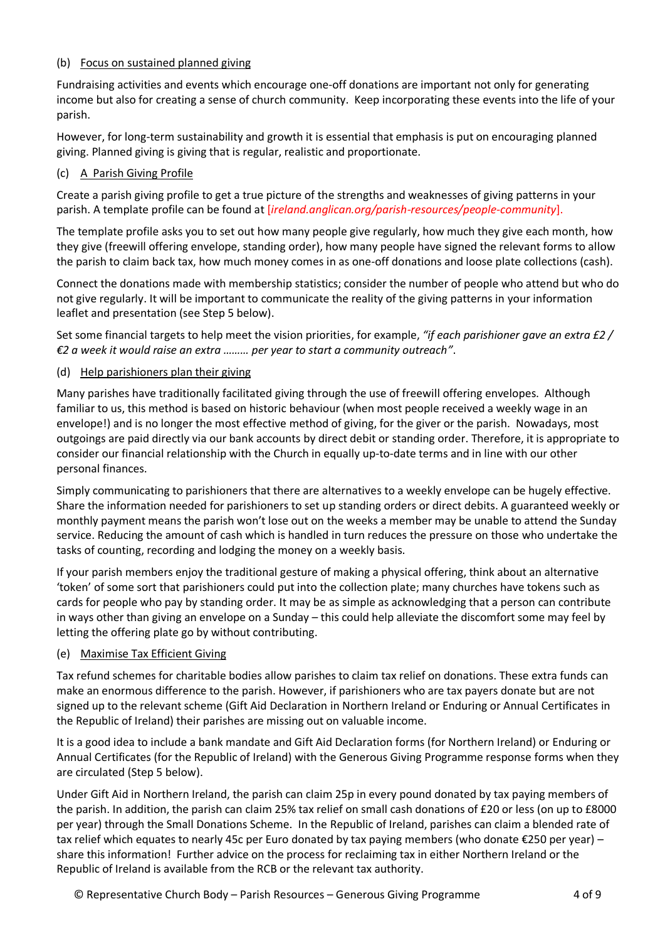## (b) Focus on sustained planned giving

Fundraising activities and events which encourage one-off donations are important not only for generating income but also for creating a sense of church community. Keep incorporating these events into the life of your parish.

However, for long-term sustainability and growth it is essential that emphasis is put on encouraging planned giving. Planned giving is giving that is regular, realistic and proportionate.

## (c) A Parish Giving Profile

Create a parish giving profile to get a true picture of the strengths and weaknesses of giving patterns in your parish. A template profile can be found at [*ireland.anglican.org/parish-resources/people-community*].

The template profile asks you to set out how many people give regularly, how much they give each month, how they give (freewill offering envelope, standing order), how many people have signed the relevant forms to allow the parish to claim back tax, how much money comes in as one-off donations and loose plate collections (cash).

Connect the donations made with membership statistics; consider the number of people who attend but who do not give regularly. It will be important to communicate the reality of the giving patterns in your information leaflet and presentation (see Step 5 below).

Set some financial targets to help meet the vision priorities, for example, *"if each parishioner gave an extra £2 / €2 a week it would raise an extra ……… per year to start a community outreach"*.

### (d) Help parishioners plan their giving

Many parishes have traditionally facilitated giving through the use of freewill offering envelopes. Although familiar to us, this method is based on historic behaviour (when most people received a weekly wage in an envelope!) and is no longer the most effective method of giving, for the giver or the parish. Nowadays, most outgoings are paid directly via our bank accounts by direct debit or standing order. Therefore, it is appropriate to consider our financial relationship with the Church in equally up-to-date terms and in line with our other personal finances.

Simply communicating to parishioners that there are alternatives to a weekly envelope can be hugely effective. Share the information needed for parishioners to set up standing orders or direct debits. A guaranteed weekly or monthly payment means the parish won't lose out on the weeks a member may be unable to attend the Sunday service. Reducing the amount of cash which is handled in turn reduces the pressure on those who undertake the tasks of counting, recording and lodging the money on a weekly basis.

If your parish members enjoy the traditional gesture of making a physical offering, think about an alternative 'token' of some sort that parishioners could put into the collection plate; many churches have tokens such as cards for people who pay by standing order. It may be as simple as acknowledging that a person can contribute in ways other than giving an envelope on a Sunday – this could help alleviate the discomfort some may feel by letting the offering plate go by without contributing.

## (e) Maximise Tax Efficient Giving

Tax refund schemes for charitable bodies allow parishes to claim tax relief on donations. These extra funds can make an enormous difference to the parish. However, if parishioners who are tax payers donate but are not signed up to the relevant scheme (Gift Aid Declaration in Northern Ireland or Enduring or Annual Certificates in the Republic of Ireland) their parishes are missing out on valuable income.

It is a good idea to include a bank mandate and Gift Aid Declaration forms (for Northern Ireland) or Enduring or Annual Certificates (for the Republic of Ireland) with the Generous Giving Programme response forms when they are circulated (Step 5 below).

Under Gift Aid in Northern Ireland, the parish can claim 25p in every pound donated by tax paying members of the parish. In addition, the parish can claim 25% tax relief on small cash donations of £20 or less (on up to £8000 per year) through the Small Donations Scheme. In the Republic of Ireland, parishes can claim a blended rate of tax relief which equates to nearly 45c per Euro donated by tax paying members (who donate €250 per year) – share this information! Further advice on the process for reclaiming tax in either Northern Ireland or the Republic of Ireland is available from the RCB or the relevant tax authority.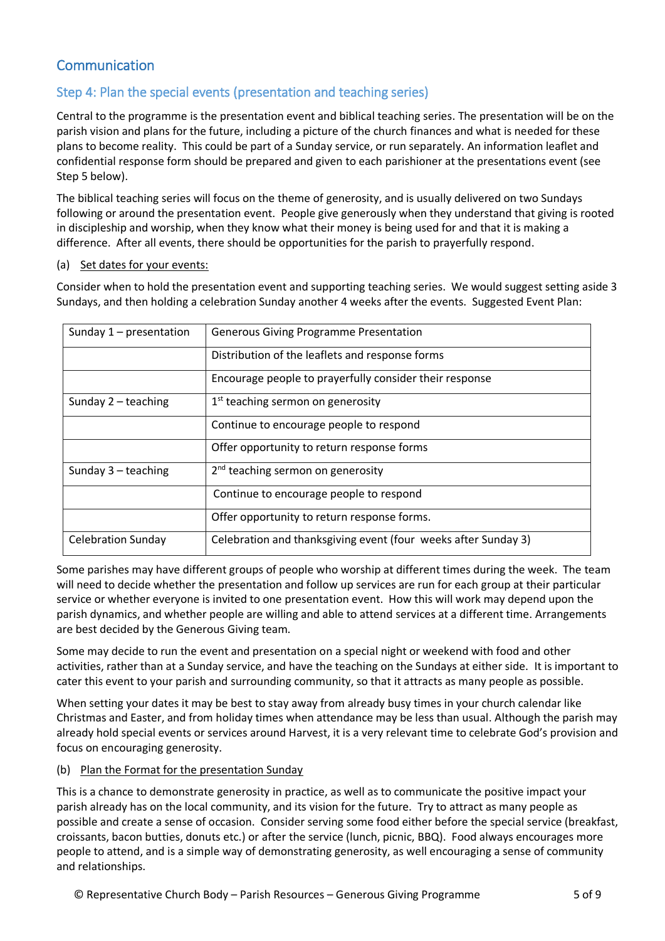# Communication

# Step 4: Plan the special events (presentation and teaching series)

Central to the programme is the presentation event and biblical teaching series. The presentation will be on the parish vision and plans for the future, including a picture of the church finances and what is needed for these plans to become reality. This could be part of a Sunday service, or run separately. An information leaflet and confidential response form should be prepared and given to each parishioner at the presentations event (see Step 5 below).

The biblical teaching series will focus on the theme of generosity, and is usually delivered on two Sundays following or around the presentation event. People give generously when they understand that giving is rooted in discipleship and worship, when they know what their money is being used for and that it is making a difference. After all events, there should be opportunities for the parish to prayerfully respond.

#### (a) Set dates for your events:

Consider when to hold the presentation event and supporting teaching series. We would suggest setting aside 3 Sundays, and then holding a celebration Sunday another 4 weeks after the events. Suggested Event Plan:

| Sunday $1$ – presentation | Generous Giving Programme Presentation                         |
|---------------------------|----------------------------------------------------------------|
|                           | Distribution of the leaflets and response forms                |
|                           | Encourage people to prayerfully consider their response        |
| Sunday $2$ – teaching     | $1st$ teaching sermon on generosity                            |
|                           | Continue to encourage people to respond                        |
|                           | Offer opportunity to return response forms                     |
| Sunday $3$ – teaching     | 2 <sup>nd</sup> teaching sermon on generosity                  |
|                           | Continue to encourage people to respond                        |
|                           | Offer opportunity to return response forms.                    |
| <b>Celebration Sunday</b> | Celebration and thanksgiving event (four weeks after Sunday 3) |

Some parishes may have different groups of people who worship at different times during the week. The team will need to decide whether the presentation and follow up services are run for each group at their particular service or whether everyone is invited to one presentation event. How this will work may depend upon the parish dynamics, and whether people are willing and able to attend services at a different time. Arrangements are best decided by the Generous Giving team.

Some may decide to run the event and presentation on a special night or weekend with food and other activities, rather than at a Sunday service, and have the teaching on the Sundays at either side. It is important to cater this event to your parish and surrounding community, so that it attracts as many people as possible.

When setting your dates it may be best to stay away from already busy times in your church calendar like Christmas and Easter, and from holiday times when attendance may be less than usual. Although the parish may already hold special events or services around Harvest, it is a very relevant time to celebrate God's provision and focus on encouraging generosity.

### (b) Plan the Format for the presentation Sunday

This is a chance to demonstrate generosity in practice, as well as to communicate the positive impact your parish already has on the local community, and its vision for the future. Try to attract as many people as possible and create a sense of occasion. Consider serving some food either before the special service (breakfast, croissants, bacon butties, donuts etc.) or after the service (lunch, picnic, BBQ). Food always encourages more people to attend, and is a simple way of demonstrating generosity, as well encouraging a sense of community and relationships.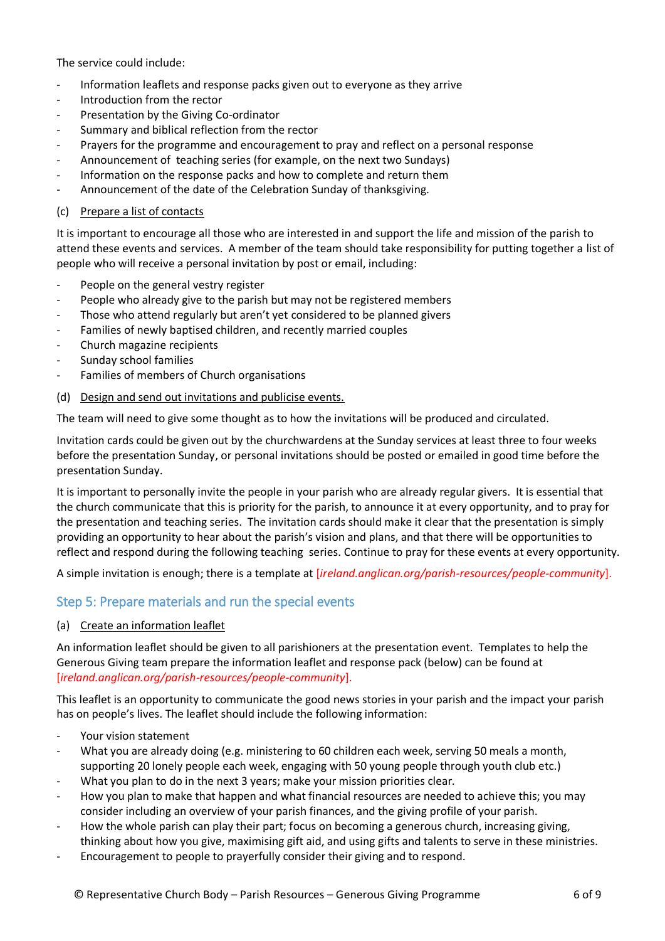The service could include:

- Information leaflets and response packs given out to everyone as they arrive
- Introduction from the rector
- Presentation by the Giving Co-ordinator
- Summary and biblical reflection from the rector
- Prayers for the programme and encouragement to pray and reflect on a personal response
- Announcement of teaching series (for example, on the next two Sundays)
- Information on the response packs and how to complete and return them
- Announcement of the date of the Celebration Sunday of thanksgiving.

### (c) Prepare a list of contacts

It is important to encourage all those who are interested in and support the life and mission of the parish to attend these events and services. A member of the team should take responsibility for putting together a list of people who will receive a personal invitation by post or email, including:

- People on the general vestry register
- People who already give to the parish but may not be registered members
- Those who attend regularly but aren't yet considered to be planned givers
- Families of newly baptised children, and recently married couples
- Church magazine recipients
- Sunday school families
- Families of members of Church organisations
- (d) Design and send out invitations and publicise events.

The team will need to give some thought as to how the invitations will be produced and circulated.

Invitation cards could be given out by the churchwardens at the Sunday services at least three to four weeks before the presentation Sunday, or personal invitations should be posted or emailed in good time before the presentation Sunday.

It is important to personally invite the people in your parish who are already regular givers. It is essential that the church communicate that this is priority for the parish, to announce it at every opportunity, and to pray for the presentation and teaching series. The invitation cards should make it clear that the presentation is simply providing an opportunity to hear about the parish's vision and plans, and that there will be opportunities to reflect and respond during the following teaching series. Continue to pray for these events at every opportunity.

A simple invitation is enough; there is a template at [*ireland.anglican.org/parish-resources/people-community*].

## Step 5: Prepare materials and run the special events

### (a) Create an information leaflet

An information leaflet should be given to all parishioners at the presentation event. Templates to help the Generous Giving team prepare the information leaflet and response pack (below) can be found at [*ireland.anglican.org/parish-resources/people-community*].

This leaflet is an opportunity to communicate the good news stories in your parish and the impact your parish has on people's lives. The leaflet should include the following information:

- Your vision statement
- What you are already doing (e.g. ministering to 60 children each week, serving 50 meals a month, supporting 20 lonely people each week, engaging with 50 young people through youth club etc.)
- What you plan to do in the next 3 years; make your mission priorities clear.
- How you plan to make that happen and what financial resources are needed to achieve this; you may consider including an overview of your parish finances, and the giving profile of your parish.
- How the whole parish can play their part; focus on becoming a generous church, increasing giving, thinking about how you give, maximising gift aid, and using gifts and talents to serve in these ministries.
- Encouragement to people to prayerfully consider their giving and to respond.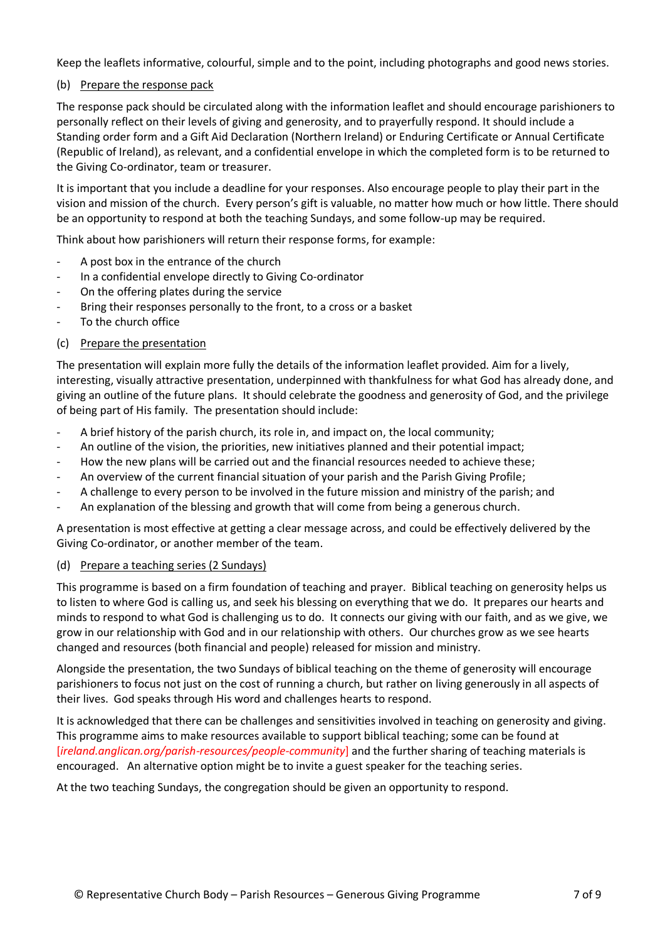Keep the leaflets informative, colourful, simple and to the point, including photographs and good news stories.

## (b) Prepare the response pack

The response pack should be circulated along with the information leaflet and should encourage parishioners to personally reflect on their levels of giving and generosity, and to prayerfully respond. It should include a Standing order form and a Gift Aid Declaration (Northern Ireland) or Enduring Certificate or Annual Certificate (Republic of Ireland), as relevant, and a confidential envelope in which the completed form is to be returned to the Giving Co-ordinator, team or treasurer.

It is important that you include a deadline for your responses. Also encourage people to play their part in the vision and mission of the church. Every person's gift is valuable, no matter how much or how little. There should be an opportunity to respond at both the teaching Sundays, and some follow-up may be required.

Think about how parishioners will return their response forms, for example:

- A post box in the entrance of the church
- In a confidential envelope directly to Giving Co-ordinator
- On the offering plates during the service
- Bring their responses personally to the front, to a cross or a basket
- To the church office

### (c) Prepare the presentation

The presentation will explain more fully the details of the information leaflet provided. Aim for a lively, interesting, visually attractive presentation, underpinned with thankfulness for what God has already done, and giving an outline of the future plans. It should celebrate the goodness and generosity of God, and the privilege of being part of His family. The presentation should include:

- A brief history of the parish church, its role in, and impact on, the local community;
- An outline of the vision, the priorities, new initiatives planned and their potential impact;
- How the new plans will be carried out and the financial resources needed to achieve these;
- An overview of the current financial situation of your parish and the Parish Giving Profile;
- A challenge to every person to be involved in the future mission and ministry of the parish; and
- An explanation of the blessing and growth that will come from being a generous church.

A presentation is most effective at getting a clear message across, and could be effectively delivered by the Giving Co-ordinator, or another member of the team.

### (d) Prepare a teaching series (2 Sundays)

This programme is based on a firm foundation of teaching and prayer. Biblical teaching on generosity helps us to listen to where God is calling us, and seek his blessing on everything that we do. It prepares our hearts and minds to respond to what God is challenging us to do. It connects our giving with our faith, and as we give, we grow in our relationship with God and in our relationship with others. Our churches grow as we see hearts changed and resources (both financial and people) released for mission and ministry.

Alongside the presentation, the two Sundays of biblical teaching on the theme of generosity will encourage parishioners to focus not just on the cost of running a church, but rather on living generously in all aspects of their lives. God speaks through His word and challenges hearts to respond.

It is acknowledged that there can be challenges and sensitivities involved in teaching on generosity and giving. This programme aims to make resources available to support biblical teaching; some can be found at [*ireland.anglican.org/parish-resources/people-community*] and the further sharing of teaching materials is encouraged. An alternative option might be to invite a guest speaker for the teaching series.

At the two teaching Sundays, the congregation should be given an opportunity to respond.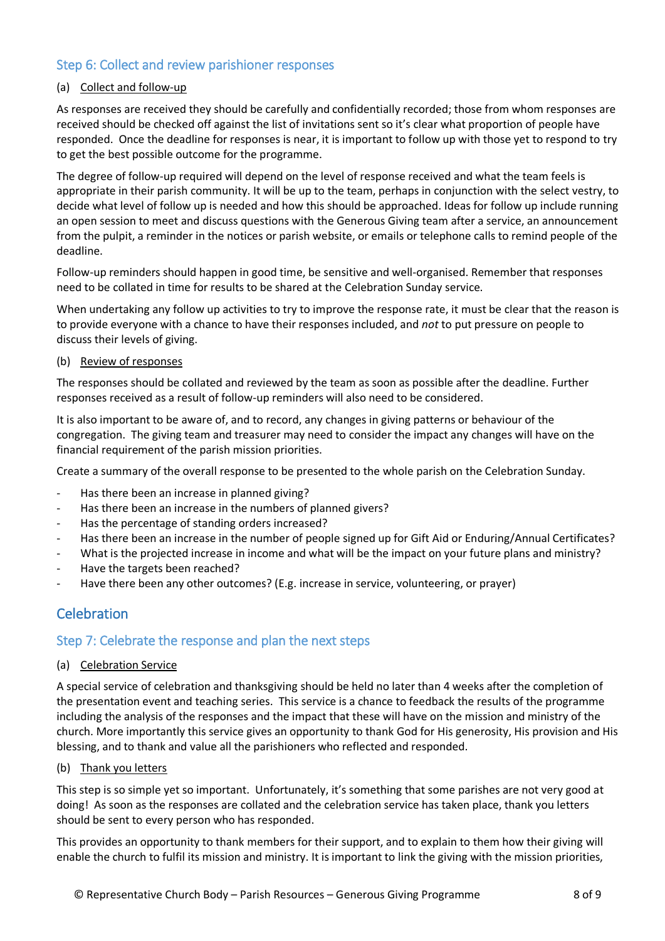## Step 6: Collect and review parishioner responses

### (a) Collect and follow-up

As responses are received they should be carefully and confidentially recorded; those from whom responses are received should be checked off against the list of invitations sent so it's clear what proportion of people have responded. Once the deadline for responses is near, it is important to follow up with those yet to respond to try to get the best possible outcome for the programme.

The degree of follow-up required will depend on the level of response received and what the team feels is appropriate in their parish community. It will be up to the team, perhaps in conjunction with the select vestry, to decide what level of follow up is needed and how this should be approached. Ideas for follow up include running an open session to meet and discuss questions with the Generous Giving team after a service, an announcement from the pulpit, a reminder in the notices or parish website, or emails or telephone calls to remind people of the deadline.

Follow-up reminders should happen in good time, be sensitive and well-organised. Remember that responses need to be collated in time for results to be shared at the Celebration Sunday service.

When undertaking any follow up activities to try to improve the response rate, it must be clear that the reason is to provide everyone with a chance to have their responses included, and *not* to put pressure on people to discuss their levels of giving.

### (b) Review of responses

The responses should be collated and reviewed by the team as soon as possible after the deadline. Further responses received as a result of follow-up reminders will also need to be considered.

It is also important to be aware of, and to record, any changes in giving patterns or behaviour of the congregation. The giving team and treasurer may need to consider the impact any changes will have on the financial requirement of the parish mission priorities.

Create a summary of the overall response to be presented to the whole parish on the Celebration Sunday.

- Has there been an increase in planned giving?
- Has there been an increase in the numbers of planned givers?
- Has the percentage of standing orders increased?
- Has there been an increase in the number of people signed up for Gift Aid or Enduring/Annual Certificates?
- What is the projected increase in income and what will be the impact on your future plans and ministry?
- Have the targets been reached?
- Have there been any other outcomes? (E.g. increase in service, volunteering, or prayer)

# **Celebration**

## Step 7: Celebrate the response and plan the next steps

(a) Celebration Service

A special service of celebration and thanksgiving should be held no later than 4 weeks after the completion of the presentation event and teaching series. This service is a chance to feedback the results of the programme including the analysis of the responses and the impact that these will have on the mission and ministry of the church. More importantly this service gives an opportunity to thank God for His generosity, His provision and His blessing, and to thank and value all the parishioners who reflected and responded.

(b) Thank you letters

This step is so simple yet so important. Unfortunately, it's something that some parishes are not very good at doing! As soon as the responses are collated and the celebration service has taken place, thank you letters should be sent to every person who has responded.

This provides an opportunity to thank members for their support, and to explain to them how their giving will enable the church to fulfil its mission and ministry. It is important to link the giving with the mission priorities,